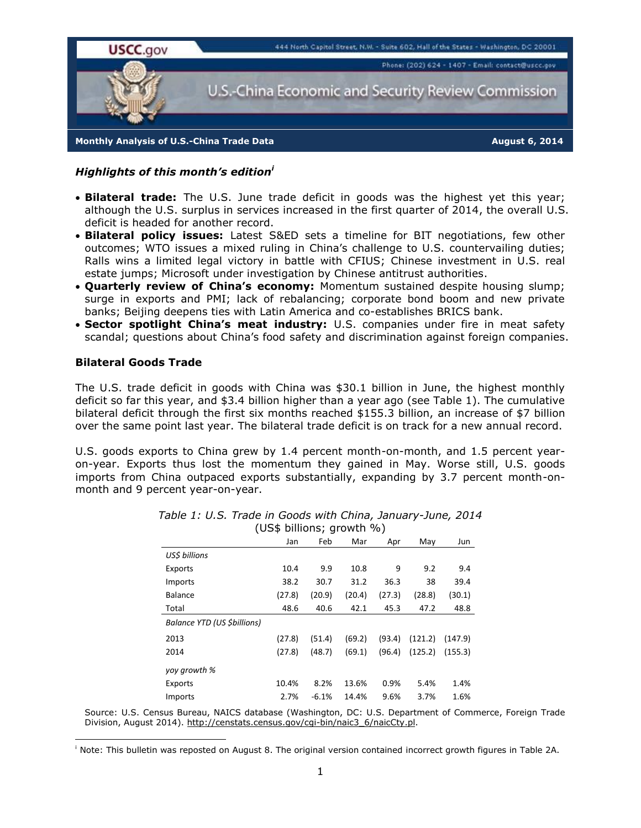

*Highlights of this month's edition<sup>i</sup>*

- **Bilateral trade:** The U.S. June trade deficit in goods was the highest yet this year; although the U.S. surplus in services increased in the first quarter of 2014, the overall U.S. deficit is headed for another record.
- **Bilateral policy issues:** Latest S&ED sets a timeline for BIT negotiations, few other outcomes; WTO issues a mixed ruling in China's challenge to U.S. countervailing duties; Ralls wins a limited legal victory in battle with CFIUS; Chinese investment in U.S. real estate jumps; Microsoft under investigation by Chinese antitrust authorities.
- **Quarterly review of China's economy:** Momentum sustained despite housing slump; surge in exports and PMI; lack of rebalancing; corporate bond boom and new private banks; Beijing deepens ties with Latin America and co-establishes BRICS bank.
- **Sector spotlight China's meat industry:** U.S. companies under fire in meat safety scandal; questions about China's food safety and discrimination against foreign companies.

#### **Bilateral Goods Trade**

1

The U.S. trade deficit in goods with China was \$30.1 billion in June, the highest monthly deficit so far this year, and \$3.4 billion higher than a year ago (see Table 1). The cumulative bilateral deficit through the first six months reached \$155.3 billion, an increase of \$7 billion over the same point last year. The bilateral trade deficit is on track for a new annual record.

U.S. goods exports to China grew by 1.4 percent month-on-month, and 1.5 percent yearon-year. Exports thus lost the momentum they gained in May. Worse still, U.S. goods imports from China outpaced exports substantially, expanding by 3.7 percent month-onmonth and 9 percent year-on-year.

|                             | (US\$ DIIIIONS, YIUWLII 70) |         |        |        |         |         |
|-----------------------------|-----------------------------|---------|--------|--------|---------|---------|
|                             | Jan                         | Feb     | Mar    | Apr    | May     | Jun     |
| USS billions                |                             |         |        |        |         |         |
| Exports                     | 10.4                        | 9.9     | 10.8   | 9      | 9.2     | 9.4     |
| Imports                     | 38.2                        | 30.7    | 31.2   | 36.3   | 38      | 39.4    |
| Balance                     | (27.8)                      | (20.9)  | (20.4) | (27.3) | (28.8)  | (30.1)  |
| Total                       | 48.6                        | 40.6    | 42.1   | 45.3   | 47.2    | 48.8    |
| Balance YTD (US \$billions) |                             |         |        |        |         |         |
| 2013                        | (27.8)                      | (51.4)  | (69.2) | (93.4) | (121.2) | (147.9) |
| 2014                        | (27.8)                      | (48.7)  | (69.1) | (96.4) | (125.2) | (155.3) |
| yoy growth %                |                             |         |        |        |         |         |
| Exports                     | 10.4%                       | 8.2%    | 13.6%  | 0.9%   | 5.4%    | 1.4%    |
| Imports                     | 2.7%                        | $-6.1%$ | 14.4%  | 9.6%   | 3.7%    | 1.6%    |

| Table 1: U.S. Trade in Goods with China, January-June, 2014 |                           |  |
|-------------------------------------------------------------|---------------------------|--|
|                                                             | (US\$ billions; growth %) |  |

Source: U.S. Census Bureau, NAICS database (Washington, DC: U.S. Department of Commerce, Foreign Trade Division, August 2014). http://censtats.census.gov/cgi-bin/naic3\_6/naicCty.pl.

<sup>i</sup> Note: This bulletin was reposted on August 8. The original version contained incorrect growth figures in Table 2A.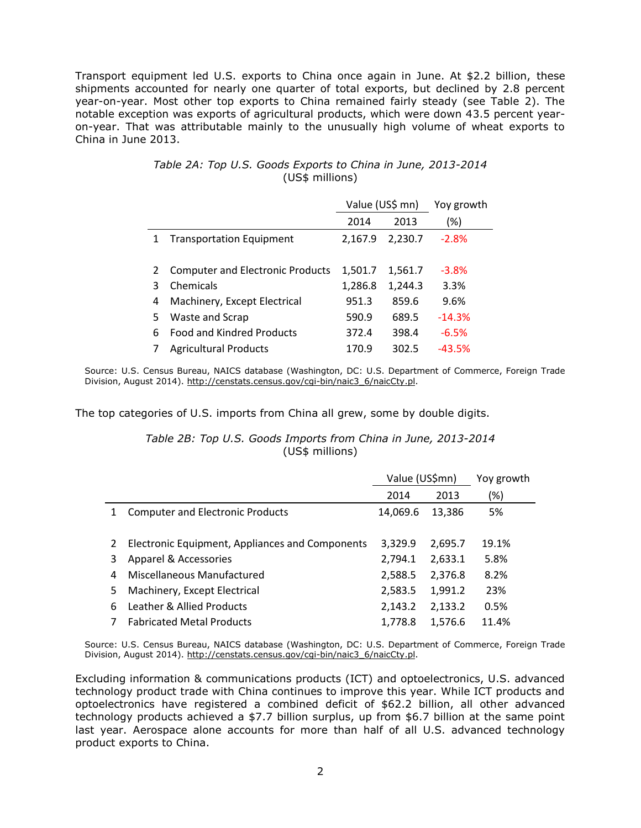Transport equipment led U.S. exports to China once again in June. At \$2.2 billion, these shipments accounted for nearly one quarter of total exports, but declined by 2.8 percent year-on-year. Most other top exports to China remained fairly steady (see Table 2). The notable exception was exports of agricultural products, which were down 43.5 percent yearon-year. That was attributable mainly to the unusually high volume of wheat exports to China in June 2013.

|   |                                         | Value (US\$ mn) |         | Yoy growth |
|---|-----------------------------------------|-----------------|---------|------------|
|   |                                         | 2014            | 2013    | (%)        |
| 1 | <b>Transportation Equipment</b>         | 2,167.9         | 2,230.7 | $-2.8%$    |
|   |                                         |                 |         |            |
| 2 | <b>Computer and Electronic Products</b> | 1,501.7         | 1,561.7 | $-3.8%$    |
| 3 | Chemicals                               | 1,286.8         | 1,244.3 | 3.3%       |
| 4 | Machinery, Except Electrical            | 951.3           | 859.6   | 9.6%       |
| 5 | Waste and Scrap                         | 590.9           | 689.5   | $-14.3%$   |
| 6 | <b>Food and Kindred Products</b>        | 372.4           | 398.4   | $-6.5%$    |
|   | <b>Agricultural Products</b>            | 170.9           | 302.5   | -43.5%     |

# *Table 2A: Top U.S. Goods Exports to China in June, 2013-2014* (US\$ millions)

Source: U.S. Census Bureau, NAICS database (Washington, DC: U.S. Department of Commerce, Foreign Trade Division, August 2014). [http://censtats.census.gov/cgi-bin/naic3\\_6/naicCty.pl.](http://censtats.census.gov/cgi-bin/naic3_6/naicCty.pl)

The top categories of U.S. imports from China all grew, some by double digits.

*Table 2B: Top U.S. Goods Imports from China in June, 2013-2014* (US\$ millions)

|   |                                                 | Value (US\$mn) |         | Yoy growth |
|---|-------------------------------------------------|----------------|---------|------------|
|   |                                                 | 2014           | 2013    | (%)        |
| 1 | <b>Computer and Electronic Products</b>         | 14,069.6       | 13,386  | 5%         |
|   |                                                 |                |         |            |
| 2 | Electronic Equipment, Appliances and Components | 3,329.9        | 2,695.7 | 19.1%      |
| 3 | Apparel & Accessories                           | 2,794.1        | 2,633.1 | 5.8%       |
| 4 | Miscellaneous Manufactured                      | 2,588.5        | 2,376.8 | 8.2%       |
| 5 | Machinery, Except Electrical                    | 2,583.5        | 1,991.2 | 23%        |
| 6 | Leather & Allied Products                       | 2,143.2        | 2,133.2 | 0.5%       |
|   | <b>Fabricated Metal Products</b>                | 1.778.8        | 1,576.6 | 11.4%      |

Source: U.S. Census Bureau, NAICS database (Washington, DC: U.S. Department of Commerce, Foreign Trade Division, August 2014). [http://censtats.census.gov/cgi-bin/naic3\\_6/naicCty.pl.](http://censtats.census.gov/cgi-bin/naic3_6/naicCty.pl)

Excluding information & communications products (ICT) and optoelectronics, U.S. advanced technology product trade with China continues to improve this year. While ICT products and optoelectronics have registered a combined deficit of \$62.2 billion, all other advanced technology products achieved a \$7.7 billion surplus, up from \$6.7 billion at the same point last year. Aerospace alone accounts for more than half of all U.S. advanced technology product exports to China.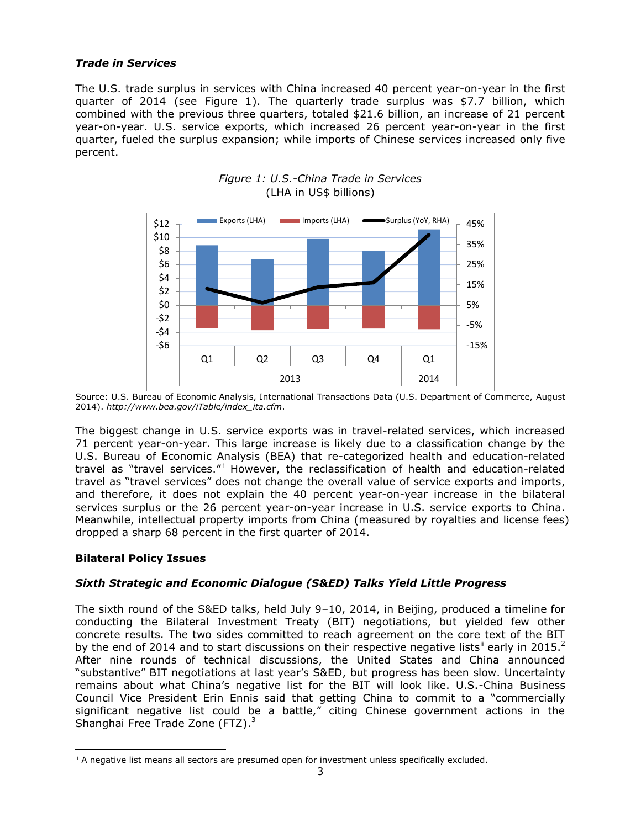# *Trade in Services*

The U.S. trade surplus in services with China increased 40 percent year-on-year in the first quarter of 2014 (see Figure 1). The quarterly trade surplus was \$7.7 billion, which combined with the previous three quarters, totaled \$21.6 billion, an increase of 21 percent year-on-year. U.S. service exports, which increased 26 percent year-on-year in the first quarter, fueled the surplus expansion; while imports of Chinese services increased only five percent.



# *Figure 1: U.S.-China Trade in Services* (LHA in US\$ billions)

Source: U.S. Bureau of Economic Analysis, International Transactions Data (U.S. Department of Commerce, August 2014). *[http://www.bea.gov/iTable/index\\_ita.cfm](http://www.bea.gov/iTable/index_ita.cfm)*.

The biggest change in U.S. service exports was in travel-related services, which increased 71 percent year-on-year. This large increase is likely due to a classification change by the U.S. Bureau of Economic Analysis (BEA) that re-categorized health and education-related travel as "travel services."<sup>1</sup> However, the reclassification of health and education-related travel as "travel services" does not change the overall value of service exports and imports, and therefore, it does not explain the 40 percent year-on-year increase in the bilateral services surplus or the 26 percent year-on-year increase in U.S. service exports to China. Meanwhile, intellectual property imports from China (measured by royalties and license fees) dropped a sharp 68 percent in the first quarter of 2014.

# **Bilateral Policy Issues**

1

# *Sixth Strategic and Economic Dialogue (S&ED) Talks Yield Little Progress*

The sixth round of the S&ED talks, held July 9–10, 2014, in Beijing, produced a timeline for conducting the Bilateral Investment Treaty (BIT) negotiations, but yielded few other concrete results. The two sides committed to reach agreement on the core text of the BIT by the end of 2014 and to start discussions on their respective negative lists<sup>ii</sup> early in 2015.<sup>2</sup> After nine rounds of technical discussions, the United States and China announced "substantive" BIT negotiations at last year's S&ED, but progress has been slow. Uncertainty remains about what China's negative list for the BIT will look like. U.S.-China Business Council Vice President Erin Ennis said that getting China to commit to a "commercially significant negative list could be a battle," citing Chinese government actions in the Shanghai Free Trade Zone (FTZ).<sup>3</sup>

<sup>&</sup>lt;sup>ii</sup> A negative list means all sectors are presumed open for investment unless specifically excluded.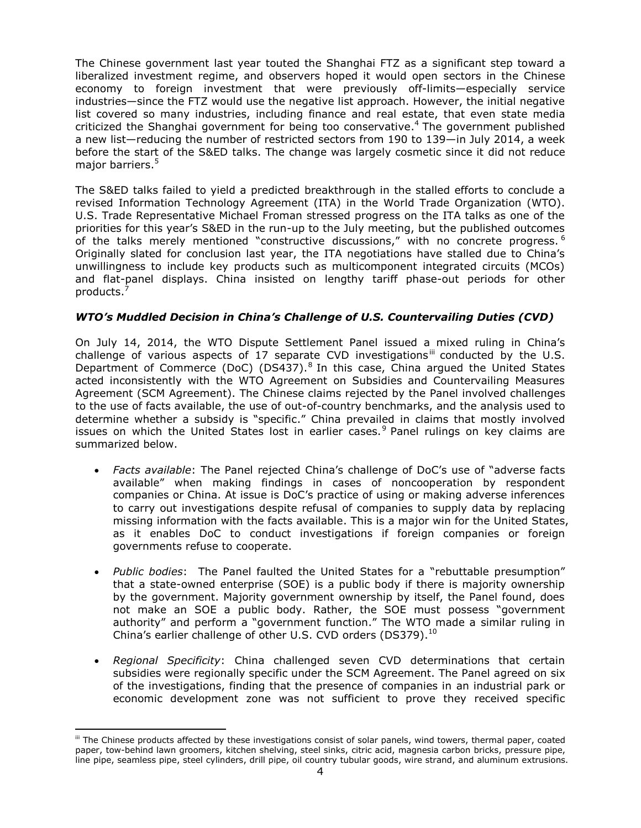The Chinese government last year touted the Shanghai FTZ as a significant step toward a liberalized investment regime, and observers hoped it would open sectors in the Chinese economy to foreign investment that were previously off-limits—especially service industries—since the FTZ would use the negative list approach. However, the initial negative list covered so many industries, including finance and real estate, that even state media criticized the Shanghai government for being too conservative.<sup>4</sup> The government published a new list—reducing the number of restricted sectors from 190 to 139—in July 2014, a week before the start of the S&ED talks. The change was largely cosmetic since it did not reduce major barriers.<sup>5</sup>

The S&ED talks failed to yield a predicted breakthrough in the stalled efforts to conclude a revised Information Technology Agreement (ITA) in the World Trade Organization (WTO). U.S. Trade Representative Michael Froman stressed progress on the ITA talks as one of the priorities for this year's S&ED in the run-up to the July meeting, but the published outcomes of the talks merely mentioned "constructive discussions," with no concrete progress.  $^6$ Originally slated for conclusion last year, the ITA negotiations have stalled due to China's unwillingness to include key products such as multicomponent integrated circuits (MCOs) and flat-panel displays. China insisted on lengthy tariff phase-out periods for other products.<sup>7</sup>

### *WTO's Muddled Decision in China's Challenge of U.S. Countervailing Duties (CVD)*

On July 14, 2014, the WTO Dispute Settlement Panel issued a mixed ruling in China's challenge of various aspects of 17 separate CVD investigations<sup>iii</sup> conducted by the U.S. Department of Commerce (DoC) (DS437). $8$  In this case, China argued the United States acted inconsistently with the WTO Agreement on Subsidies and Countervailing Measures Agreement (SCM Agreement). The Chinese claims rejected by the Panel involved challenges to the use of facts available, the use of out-of-country benchmarks, and the analysis used to determine whether a subsidy is "specific." China prevailed in claims that mostly involved issues on which the United States lost in earlier cases.<sup>9</sup> Panel rulings on key claims are summarized below.

- *Facts available*: The Panel rejected China's challenge of DoC's use of "adverse facts available" when making findings in cases of noncooperation by respondent companies or China. At issue is DoC's practice of using or making adverse inferences to carry out investigations despite refusal of companies to supply data by replacing missing information with the facts available. This is a major win for the United States, as it enables DoC to conduct investigations if foreign companies or foreign governments refuse to cooperate.
- *Public bodies*: The Panel faulted the United States for a "rebuttable presumption" that a state-owned enterprise (SOE) is a public body if there is majority ownership by the government. Majority government ownership by itself, the Panel found, does not make an SOE a public body. Rather, the SOE must possess "government authority" and perform a "government function." The WTO made a similar ruling in China's earlier challenge of other U.S. CVD orders (DS379). $^{10}$
- *Regional Specificity*: China challenged seven CVD determinations that certain subsidies were regionally specific under the SCM Agreement. The Panel agreed on six of the investigations, finding that the presence of companies in an industrial park or economic development zone was not sufficient to prove they received specific

iii The Chinese products affected by these investigations consist of solar panels, wind towers, thermal paper, coated paper, tow-behind lawn groomers, kitchen shelving, steel sinks, citric acid, magnesia carbon bricks, pressure pipe, line pipe, seamless pipe, steel cylinders, drill pipe, oil country tubular goods, wire strand, and aluminum extrusions.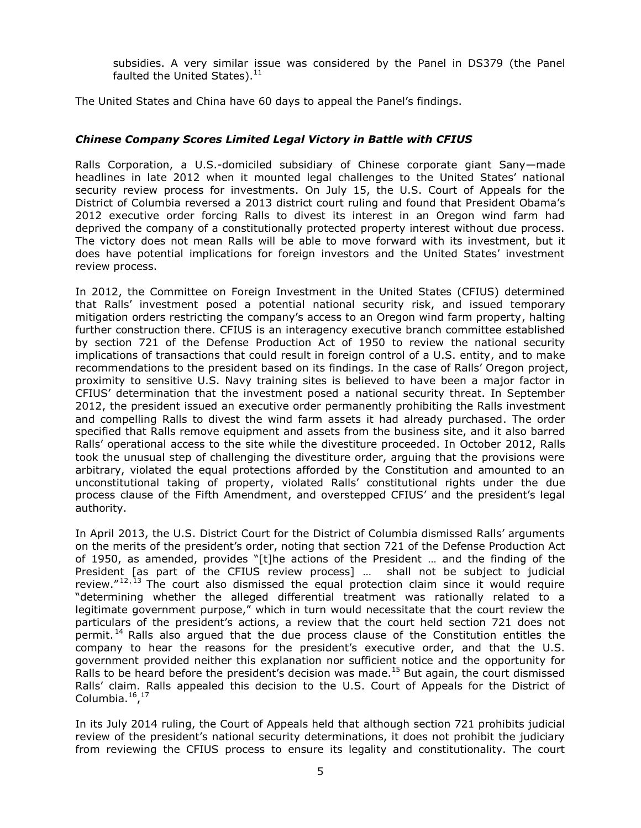subsidies. A very similar issue was considered by the Panel in DS379 (the Panel faulted the United States). $11$ 

The United States and China have 60 days to appeal the Panel's findings.

### *Chinese Company Scores Limited Legal Victory in Battle with CFIUS*

Ralls Corporation, a U.S.-domiciled subsidiary of Chinese corporate giant Sany—made headlines in late 2012 when it mounted legal challenges to the United States' national security review process for investments. On July 15, the U.S. Court of Appeals for the District of Columbia reversed a 2013 district court ruling and found that President Obama's 2012 executive order forcing Ralls to divest its interest in an Oregon wind farm had deprived the company of a constitutionally protected property interest without due process. The victory does not mean Ralls will be able to move forward with its investment, but it does have potential implications for foreign investors and the United States' investment review process.

In 2012, the Committee on Foreign Investment in the United States (CFIUS) determined that Ralls' investment posed a potential national security risk, and issued temporary mitigation orders restricting the company's access to an Oregon wind farm property, halting further construction there. CFIUS is an interagency executive branch committee established by section 721 of the Defense Production Act of 1950 to review the national security implications of transactions that could result in foreign control of a U.S. entity, and to make recommendations to the president based on its findings. In the case of Ralls' Oregon project, proximity to sensitive U.S. Navy training sites is believed to have been a major factor in CFIUS' determination that the investment posed a national security threat. In September 2012, the president issued an executive order permanently prohibiting the Ralls investment and compelling Ralls to divest the wind farm assets it had already purchased. The order specified that Ralls remove equipment and assets from the business site, and it also barred Ralls' operational access to the site while the divestiture proceeded. In October 2012, Ralls took the unusual step of challenging the divestiture order, arguing that the provisions were arbitrary, violated the equal protections afforded by the Constitution and amounted to an unconstitutional taking of property, violated Ralls' constitutional rights under the due process clause of the Fifth Amendment, and overstepped CFIUS' and the president's legal authority.

In April 2013, the U.S. District Court for the District of Columbia dismissed Ralls' arguments on the merits of the president's order, noting that section 721 of the Defense Production Act of 1950, as amended, provides "[t]he actions of the President … and the finding of the President [as part of the CFIUS review process] … shall not be subject to judicial review. $12,13$  The court also dismissed the equal protection claim since it would require "determining whether the alleged differential treatment was rationally related to a legitimate government purpose," which in turn would necessitate that the court review the particulars of the president's actions, a review that the court held section 721 does not permit.<sup>14</sup> Ralls also argued that the due process clause of the Constitution entitles the company to hear the reasons for the president's executive order, and that the U.S. government provided neither this explanation nor sufficient notice and the opportunity for Ralls to be heard before the president's decision was made.<sup>15</sup> But again, the court dismissed Ralls' claim. Ralls appealed this decision to the U.S. Court of Appeals for the District of Columbia.<sup>16</sup>,<sup>17</sup>

In its July 2014 ruling, the Court of Appeals held that although section 721 prohibits judicial review of the president's national security determinations, it does not prohibit the judiciary from reviewing the CFIUS process to ensure its legality and constitutionality. The court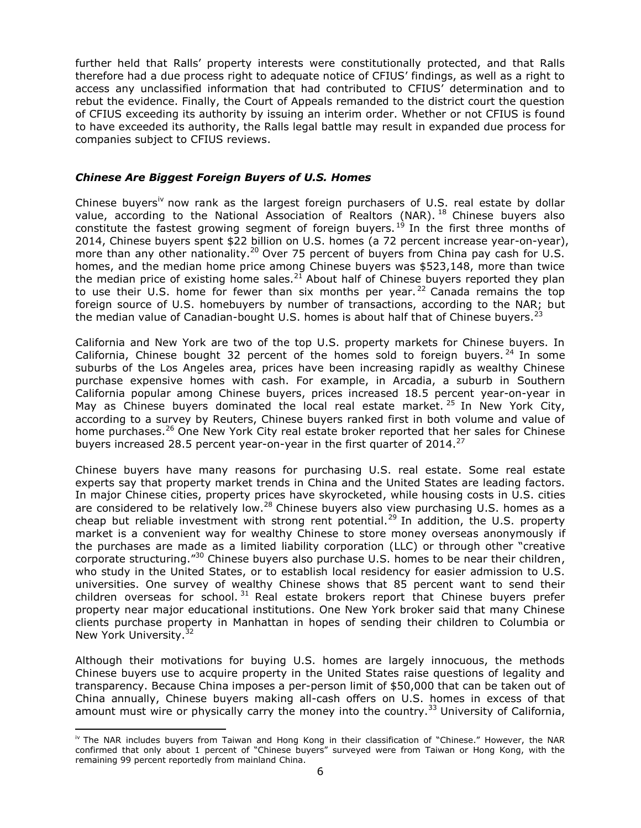further held that Ralls' property interests were constitutionally protected, and that Ralls therefore had a due process right to adequate notice of CFIUS' findings, as well as a right to access any unclassified information that had contributed to CFIUS' determination and to rebut the evidence. Finally, the Court of Appeals remanded to the district court the question of CFIUS exceeding its authority by issuing an interim order. Whether or not CFIUS is found to have exceeded its authority, the Ralls legal battle may result in expanded due process for companies subject to CFIUS reviews.

### *Chinese Are Biggest Foreign Buyers of U.S. Homes*

Chinese buyers<sup>iv</sup> now rank as the largest foreign purchasers of U.S. real estate by dollar value, according to the National Association of Realtors (NAR).<sup>18</sup> Chinese buyers also constitute the fastest growing segment of foreign buyers.<sup>19</sup> In the first three months of 2014, Chinese buyers spent \$22 billion on U.S. homes (a 72 percent increase year-on-year), more than any other nationality.<sup>20</sup> Over 75 percent of buyers from China pay cash for U.S. homes, and the median home price among Chinese buyers was \$523,148, more than twice the median price of existing home sales.<sup>21</sup> About half of Chinese buyers reported they plan to use their U.S. home for fewer than six months per year.<sup>22</sup> Canada remains the top foreign source of U.S. homebuyers by number of transactions, according to the NAR; but the median value of Canadian-bought U.S. homes is about half that of Chinese buyers. $^{23}$ 

California and New York are two of the top U.S. property markets for Chinese buyers. In California, Chinese bought 32 percent of the homes sold to foreign buyers.  $^{24}$  In some suburbs of the Los Angeles area, prices have been increasing rapidly as wealthy Chinese purchase expensive homes with cash. For example, in Arcadia, a suburb in Southern California popular among Chinese buyers, prices increased 18.5 percent year-on-year in May as Chinese buyers dominated the local real estate market.  $25$  In New York City, according to a survey by Reuters, Chinese buyers ranked first in both volume and value of home purchases.<sup>26</sup> One New York City real estate broker reported that her sales for Chinese buyers increased 28.5 percent year-on-year in the first quarter of  $2014.<sup>27</sup>$ 

Chinese buyers have many reasons for purchasing U.S. real estate. Some real estate experts say that property market trends in China and the United States are leading factors. In major Chinese cities, property prices have skyrocketed, while housing costs in U.S. cities are considered to be relatively low.<sup>28</sup> Chinese buyers also view purchasing U.S. homes as a cheap but reliable investment with strong rent potential.<sup>29</sup> In addition, the U.S. property market is a convenient way for wealthy Chinese to store money overseas anonymously if the purchases are made as a limited liability corporation (LLC) or through other "creative corporate structuring."<sup>30</sup> Chinese buyers also purchase U.S. homes to be near their children, who study in the United States, or to establish local residency for easier admission to U.S. universities. One survey of wealthy Chinese shows that 85 percent want to send their children overseas for school.  $31$  Real estate brokers report that Chinese buyers prefer property near major educational institutions. One New York broker said that many Chinese clients purchase property in Manhattan in hopes of sending their children to Columbia or New York University.<sup>32</sup>

Although their motivations for buying U.S. homes are largely innocuous, the methods Chinese buyers use to acquire property in the United States raise questions of legality and transparency. Because China imposes a per-person limit of \$50,000 that can be taken out of China annually, Chinese buyers making all-cash offers on U.S. homes in excess of that amount must wire or physically carry the money into the country.<sup>33</sup> University of California,

iv The NAR includes buyers from Taiwan and Hong Kong in their classification of "Chinese." However, the NAR confirmed that only about 1 percent of "Chinese buyers" surveyed were from Taiwan or Hong Kong, with the remaining 99 percent reportedly from mainland China.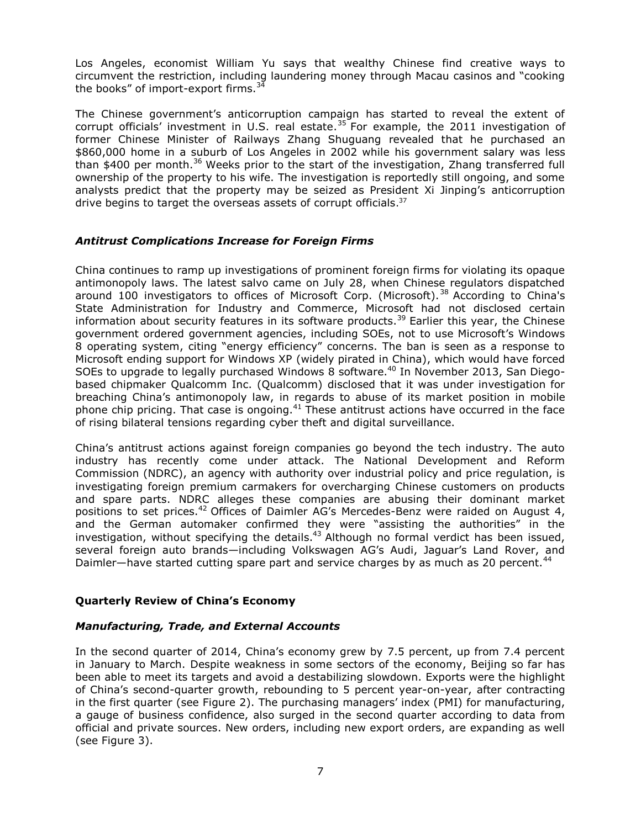Los Angeles, economist William Yu says that wealthy Chinese find creative ways to circumvent the restriction, including laundering money through Macau casinos and "cooking the books" of import-export firms. $34$ 

The Chinese government's anticorruption campaign has started to reveal the extent of corrupt officials' investment in U.S. real estate.<sup>35</sup> For example, the 2011 investigation of former Chinese Minister of Railways Zhang Shuguang revealed that he purchased an \$860,000 home in a suburb of Los Angeles in 2002 while his government salary was less than \$400 per month.<sup>36</sup> Weeks prior to the start of the investigation, Zhang transferred full ownership of the property to his wife. The investigation is reportedly still ongoing, and some analysts predict that the property may be seized as President Xi Jinping's anticorruption drive begins to target the overseas assets of corrupt officials.<sup>37</sup>

### *Antitrust Complications Increase for Foreign Firms*

China continues to ramp up investigations of prominent foreign firms for violating its opaque antimonopoly laws. The latest salvo came on July 28, when Chinese regulators dispatched around 100 investigators to offices of Microsoft Corp. (Microsoft).<sup>38</sup> According to China's State Administration for Industry and Commerce, Microsoft had not disclosed certain information about security features in its software products.<sup>39</sup> Earlier this year, the Chinese government ordered government agencies, including SOEs, not to use Microsoft's Windows 8 operating system, citing "energy efficiency" concerns. The ban is seen as a response to Microsoft ending support for Windows XP (widely pirated in China), which would have forced SOEs to upgrade to legally purchased Windows 8 software.<sup>40</sup> In November 2013, San Diegobased chipmaker Qualcomm Inc. (Qualcomm) disclosed that it was under investigation for breaching China's antimonopoly law, in regards to abuse of its market position in mobile phone chip pricing. That case is ongoing. $41$  These antitrust actions have occurred in the face of rising bilateral tensions regarding cyber theft and digital surveillance.

China's antitrust actions against foreign companies go beyond the tech industry. The auto industry has recently come under attack. The National Development and Reform Commission (NDRC), an agency with authority over industrial policy and price regulation, is investigating foreign premium carmakers for overcharging Chinese customers on products and spare parts. NDRC alleges these companies are abusing their dominant market positions to set prices.<sup>42</sup> Offices of Daimler AG's Mercedes-Benz were raided on August 4, and the German automaker confirmed they were "assisting the authorities" in the investigation, without specifying the details.<sup>43</sup> Although no formal verdict has been issued, several foreign auto brands—including Volkswagen AG's Audi, Jaguar's Land Rover, and Daimler—have started cutting spare part and service charges by as much as 20 percent.<sup>44</sup>

# **Quarterly Review of China's Economy**

### *Manufacturing, Trade, and External Accounts*

In the second quarter of 2014, China's economy grew by 7.5 percent, up from 7.4 percent in January to March. Despite weakness in some sectors of the economy, Beijing so far has been able to meet its targets and avoid a destabilizing slowdown. Exports were the highlight of China's second-quarter growth, rebounding to 5 percent year-on-year, after contracting in the first quarter (see Figure 2). The purchasing managers' index (PMI) for manufacturing, a gauge of business confidence, also surged in the second quarter according to data from official and private sources. New orders, including new export orders, are expanding as well (see Figure 3).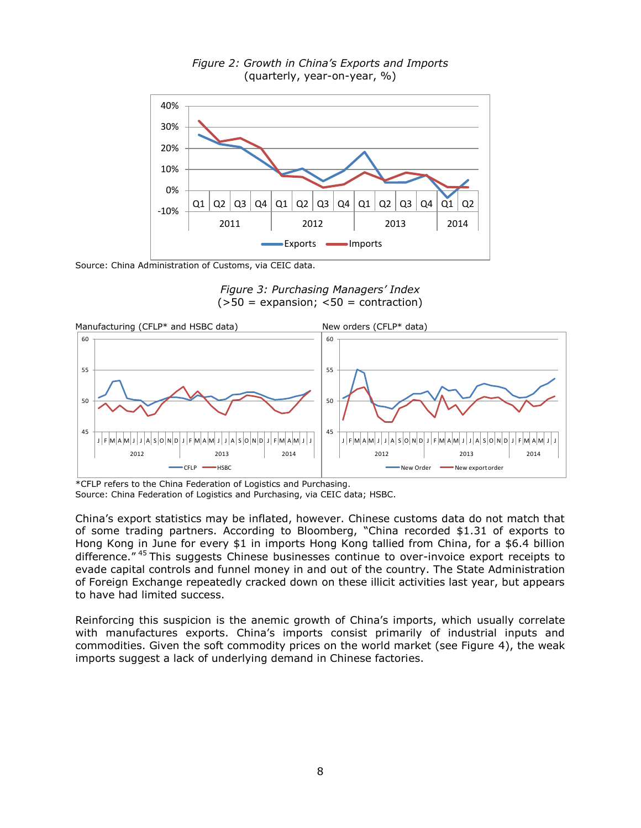

*Figure 2: Growth in China's Exports and Imports* (quarterly, year-on-year, %)

Source: China Administration of Customs, via CEIC data.

*Figure 3: Purchasing Managers' Index*  $(>50$  = expansion;  $<50$  = contraction)



\*CFLP refers to the China Federation of Logistics and Purchasing.

Source: China Federation of Logistics and Purchasing, via CEIC data; HSBC.

China's export statistics may be inflated, however. Chinese customs data do not match that of some trading partners. According to Bloomberg, "China recorded \$1.31 of exports to Hong Kong in June for every \$1 in imports Hong Kong tallied from China, for a \$6.4 billion difference."<sup>45</sup> This suggests Chinese businesses continue to over-invoice export receipts to evade capital controls and funnel money in and out of the country. The State Administration of Foreign Exchange repeatedly cracked down on these illicit activities last year, but appears to have had limited success.

Reinforcing this suspicion is the anemic growth of China's imports, which usually correlate with manufactures exports. China's imports consist primarily of industrial inputs and commodities. Given the soft commodity prices on the world market (see Figure 4), the weak imports suggest a lack of underlying demand in Chinese factories.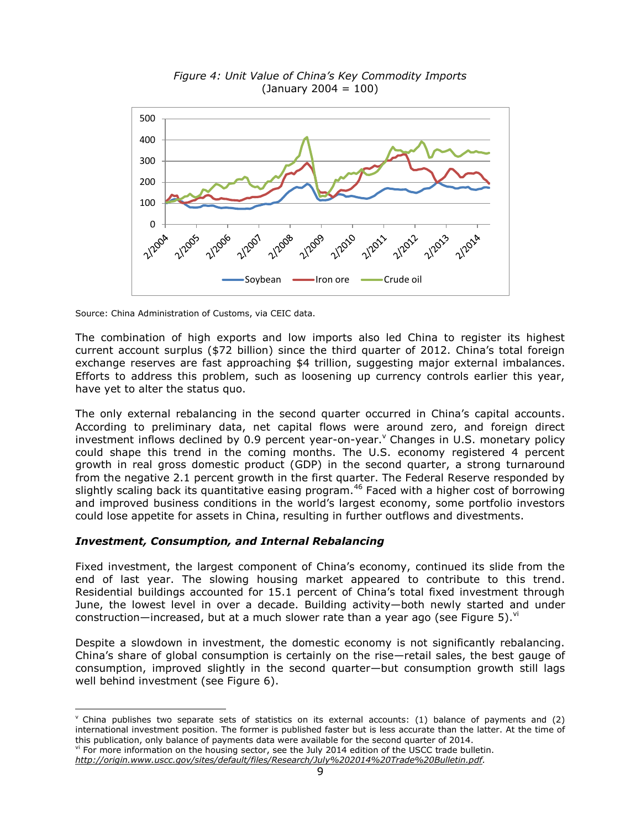

*Figure 4: Unit Value of China's Key Commodity Imports*  $(January 2004 = 100)$ 

Source: China Administration of Customs, via CEIC data.

The combination of high exports and low imports also led China to register its highest current account surplus (\$72 billion) since the third quarter of 2012. China's total foreign exchange reserves are fast approaching \$4 trillion, suggesting major external imbalances. Efforts to address this problem, such as loosening up currency controls earlier this year, have yet to alter the status quo.

The only external rebalancing in the second quarter occurred in China's capital accounts. According to preliminary data, net capital flows were around zero, and foreign direct investment inflows declined by 0.9 percent year-on-year. Changes in U.S. monetary policy could shape this trend in the coming months. The U.S. economy registered 4 percent growth in real gross domestic product (GDP) in the second quarter, a strong turnaround from the negative 2.1 percent growth in the first quarter. The Federal Reserve responded by slightly scaling back its quantitative easing program.<sup>46</sup> Faced with a higher cost of borrowing and improved business conditions in the world's largest economy, some portfolio investors could lose appetite for assets in China, resulting in further outflows and divestments.

#### *Investment, Consumption, and Internal Rebalancing*

Fixed investment, the largest component of China's economy, continued its slide from the end of last year. The slowing housing market appeared to contribute to this trend. Residential buildings accounted for 15.1 percent of China's total fixed investment through June, the lowest level in over a decade. Building activity—both newly started and under construction—increased, but at a much slower rate than a year ago (see Figure 5). $"$ 

Despite a slowdown in investment, the domestic economy is not significantly rebalancing. China's share of global consumption is certainly on the rise—retail sales, the best gauge of consumption, improved slightly in the second quarter—but consumption growth still lags well behind investment (see Figure 6).

 $v$  China publishes two separate sets of statistics on its external accounts: (1) balance of payments and (2) international investment position. The former is published faster but is less accurate than the latter. At the time of this publication, only balance of payments data were available for the second quarter of 2014.

vi For more information on the housing sector, see the July 2014 edition of the USCC trade bulletin.

*[http://origin.www.uscc.gov/sites/default/files/Research/July%202014%20Trade%20Bulletin.pdf.](http://origin.www.uscc.gov/sites/default/files/Research/July%202014%20Trade%20Bulletin.pdf)*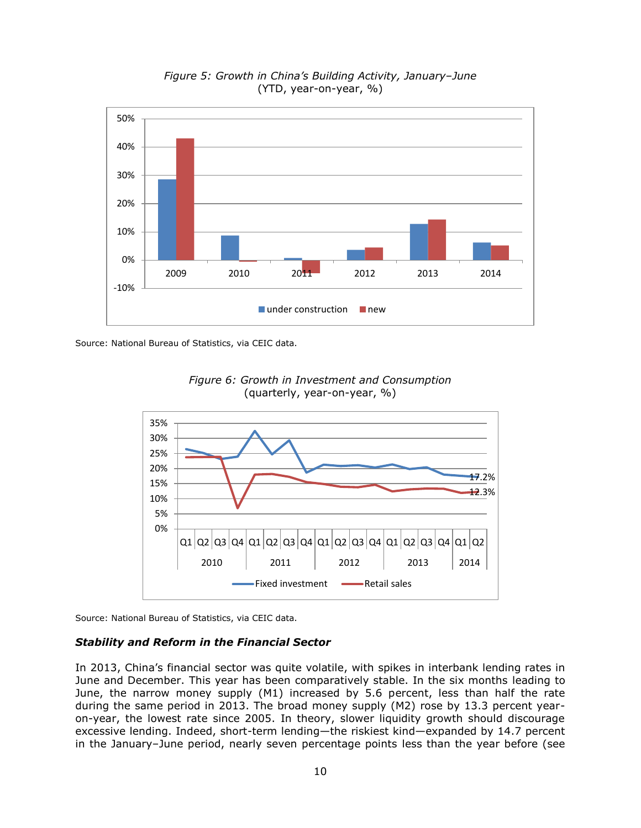

*Figure 5: Growth in China's Building Activity, January–June* (YTD, year-on-year, %)

Source: National Bureau of Statistics, via CEIC data.





Source: National Bureau of Statistics, via CEIC data.

#### *Stability and Reform in the Financial Sector*

In 2013, China's financial sector was quite volatile, with spikes in interbank lending rates in June and December. This year has been comparatively stable. In the six months leading to June, the narrow money supply (M1) increased by 5.6 percent, less than half the rate during the same period in 2013. The broad money supply (M2) rose by 13.3 percent yearon-year, the lowest rate since 2005. In theory, slower liquidity growth should discourage excessive lending. Indeed, short-term lending—the riskiest kind—expanded by 14.7 percent in the January–June period, nearly seven percentage points less than the year before (see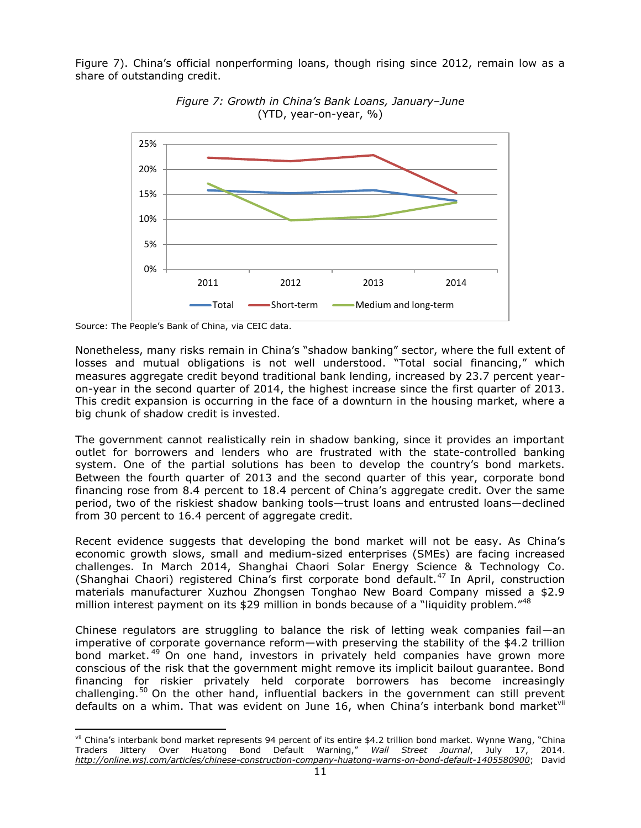Figure 7). China's official nonperforming loans, though rising since 2012, remain low as a share of outstanding credit.



*Figure 7: Growth in China's Bank Loans, January–June* (YTD, year-on-year, %)

Nonetheless, many risks remain in China's "shadow banking" sector, where the full extent of losses and mutual obligations is not well understood. "Total social financing," which measures aggregate credit beyond traditional bank lending, increased by 23.7 percent yearon-year in the second quarter of 2014, the highest increase since the first quarter of 2013. This credit expansion is occurring in the face of a downturn in the housing market, where a big chunk of shadow credit is invested.

The government cannot realistically rein in shadow banking, since it provides an important outlet for borrowers and lenders who are frustrated with the state-controlled banking system. One of the partial solutions has been to develop the country's bond markets. Between the fourth quarter of 2013 and the second quarter of this year, corporate bond financing rose from 8.4 percent to 18.4 percent of China's aggregate credit. Over the same period, two of the riskiest shadow banking tools—trust loans and entrusted loans—declined from 30 percent to 16.4 percent of aggregate credit.

Recent evidence suggests that developing the bond market will not be easy. As China's economic growth slows, small and medium-sized enterprises (SMEs) are facing increased challenges. In March 2014, Shanghai Chaori Solar Energy Science & Technology Co. (Shanghai Chaori) registered China's first corporate bond default.<sup>47</sup> In April, construction materials manufacturer Xuzhou Zhongsen Tonghao New Board Company missed a \$2.9 million interest payment on its \$29 million in bonds because of a "liquidity problem."<sup>48</sup>

Chinese regulators are struggling to balance the risk of letting weak companies fail—an imperative of corporate governance reform—with preserving the stability of the \$4.2 trillion bond market.<sup>49</sup> On one hand, investors in privately held companies have grown more conscious of the risk that the government might remove its implicit bailout guarantee. Bond financing for riskier privately held corporate borrowers has become increasingly challenging.<sup>50</sup> On the other hand, influential backers in the government can still prevent defaults on a whim. That was evident on June 16, when China's interbank bond market<sup>vii</sup>

Source: The People's Bank of China, via CEIC data.

vii China's interbank bond market represents 94 percent of its entire \$4.2 trillion bond market. Wynne Wang, "China Traders Jittery Over Huatong Bond Default Warning," *Wall Street Journal*, July 17, 2014. *http://online.wsj.com/articles/chinese-construction-company-huatong-warns-on-bond-default-1405580900*; David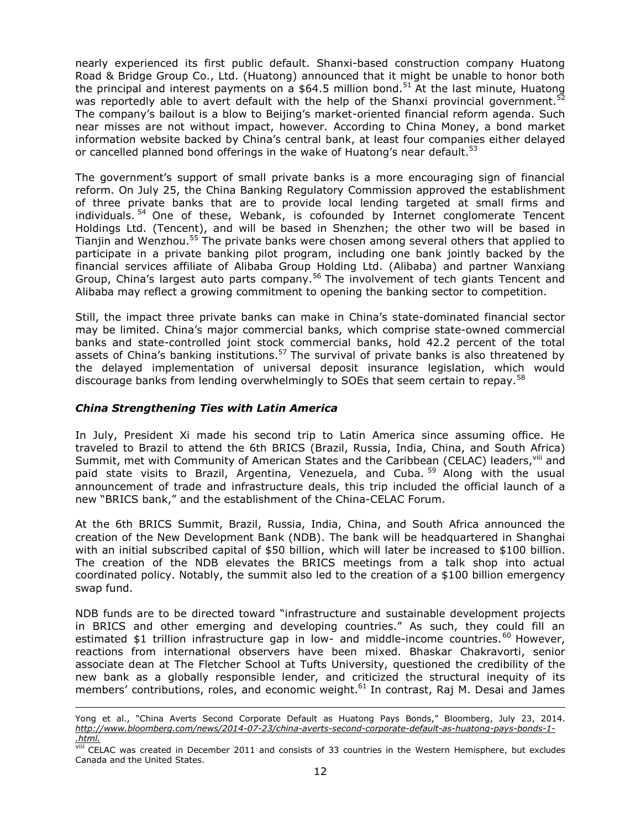nearly experienced its first public default. Shanxi-based construction company Huatong Road & Bridge Group Co., Ltd. (Huatong) announced that it might be unable to honor both the principal and interest payments on a  $$64.5$  million bond.<sup>51</sup> At the last minute, Huatong was reportedly able to avert default with the help of the Shanxi provincial government.<sup>52</sup> The company's bailout is a blow to Beijing's market-oriented financial reform agenda. Such near misses are not without impact, however. According to China Money, a bond market information website backed by China's central bank, at least four companies either delayed or cancelled planned bond offerings in the wake of Huatong's near default.<sup>53</sup>

The government's support of small private banks is a more encouraging sign of financial reform. On July 25, the China Banking Regulatory Commission approved the establishment of three private banks that are to provide local lending targeted at small firms and individuals.<sup>54</sup> One of these, Webank, is cofounded by Internet conglomerate Tencent Holdings Ltd. (Tencent), and will be based in Shenzhen; the other two will be based in Tianjin and Wenzhou.<sup>55</sup> The private banks were chosen among several others that applied to participate in a private banking pilot program, including one bank jointly backed by the financial services affiliate of Alibaba Group Holding Ltd. (Alibaba) and partner Wanxiang Group, China's largest auto parts company.<sup>56</sup> The involvement of tech giants Tencent and Alibaba may reflect a growing commitment to opening the banking sector to competition.

Still, the impact three private banks can make in China's state-dominated financial sector may be limited. China's major commercial banks, which comprise state-owned commercial banks and state-controlled joint stock commercial banks, hold 42.2 percent of the total assets of China's banking institutions.<sup>57</sup> The survival of private banks is also threatened by the delayed implementation of universal deposit insurance legislation, which would discourage banks from lending overwhelmingly to SOEs that seem certain to repay.<sup>58</sup>

### *China Strengthening Ties with Latin America*

In July, President Xi made his second trip to Latin America since assuming office. He traveled to Brazil to attend the 6th BRICS (Brazil, Russia, India, China, and South Africa) Summit, met with Community of American States and the Caribbean (CELAC) leaders, Vill and paid state visits to Brazil, Argentina, Venezuela, and Cuba.<sup>59</sup> Along with the usual announcement of trade and infrastructure deals, this trip included the official launch of a new "BRICS bank," and the establishment of the China-CELAC Forum.

At the 6th BRICS Summit, Brazil, Russia, India, China, and South Africa announced the creation of the New Development Bank (NDB). The bank will be headquartered in Shanghai with an initial subscribed capital of \$50 billion, which will later be increased to \$100 billion. The creation of the NDB elevates the BRICS meetings from a talk shop into actual coordinated policy. Notably, the summit also led to the creation of a \$100 billion emergency swap fund.

NDB funds are to be directed toward "infrastructure and sustainable development projects in BRICS and other emerging and developing countries." As such, they could fill an estimated  $$1$  trillion infrastructure gap in low- and middle-income countries.<sup>60</sup> However, reactions from international observers have been mixed. Bhaskar Chakravorti, senior associate dean at The Fletcher School at Tufts University, questioned the credibility of the new bank as a globally responsible lender, and criticized the structural inequity of its members' contributions, roles, and economic weight.<sup>61</sup> In contrast, Raj M. Desai and James

Yong et al., "China Averts Second Corporate Default as Huatong Pays Bonds," Bloomberg, July 23, 2014. *http://www.bloomberg.com/news/2014-07-23/china-averts-second-corporate-default-as-huatong-pays-bonds-1- .html.*

VIII CELAC was created in December 2011 and consists of 33 countries in the Western Hemisphere, but excludes Canada and the United States.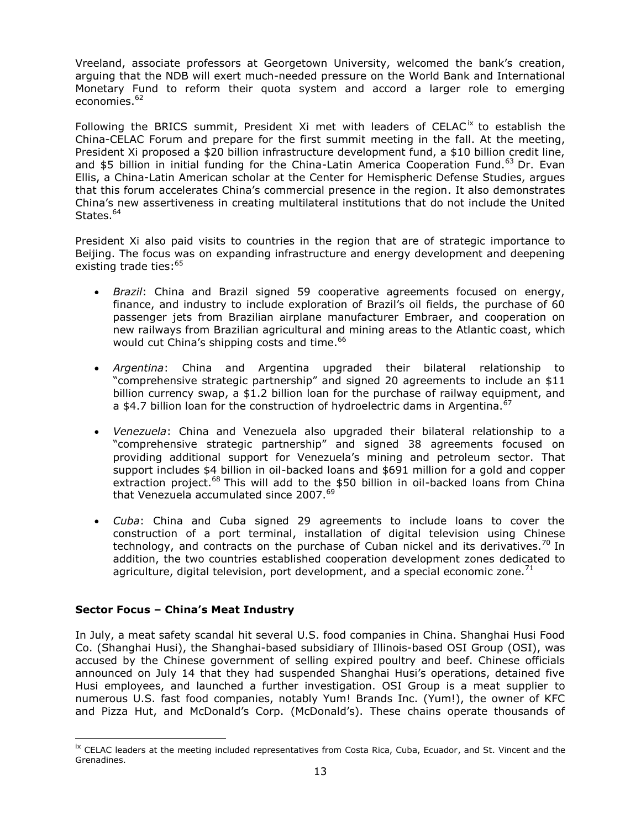Vreeland, associate professors at Georgetown University, welcomed the bank's creation, arguing that the NDB will exert much-needed pressure on the World Bank and International Monetary Fund to reform their quota system and accord a larger role to emerging economies.<sup>62</sup>

Following the BRICS summit, President Xi met with leaders of CELAC<sup>ix</sup> to establish the China-CELAC Forum and prepare for the first summit meeting in the fall. At the meeting, President Xi proposed a \$20 billion infrastructure development fund, a \$10 billion credit line, and \$5 billion in initial funding for the China-Latin America Cooperation Fund.<sup>63</sup> Dr. Evan Ellis, a China-Latin American scholar at the Center for Hemispheric Defense Studies, argues that this forum accelerates China's commercial presence in the region. It also demonstrates China's new assertiveness in creating multilateral institutions that do not include the United States. 64

President Xi also paid visits to countries in the region that are of strategic importance to Beijing. The focus was on expanding infrastructure and energy development and deepening existing trade ties:<sup>65</sup>

- *Brazil*: China and Brazil signed 59 cooperative agreements focused on energy, finance, and industry to include exploration of Brazil's oil fields, the purchase of 60 passenger jets from Brazilian airplane manufacturer Embraer, and cooperation on new railways from Brazilian agricultural and mining areas to the Atlantic coast, which would cut China's shipping costs and time.<sup>66</sup>
- *Argentina*: China and Argentina upgraded their bilateral relationship to "comprehensive strategic partnership" and signed 20 agreements to include an \$11 billion currency swap, a \$1.2 billion loan for the purchase of railway equipment, and a \$4.7 billion loan for the construction of hydroelectric dams in Argentina.<sup>67</sup>
- *Venezuela*: China and Venezuela also upgraded their bilateral relationship to a "comprehensive strategic partnership" and signed 38 agreements focused on providing additional support for Venezuela's mining and petroleum sector. That support includes \$4 billion in oil-backed loans and \$691 million for a gold and copper extraction project.<sup>68</sup> This will add to the \$50 billion in oil-backed loans from China that Venezuela accumulated since 2007.<sup>69</sup>
- *Cuba*: China and Cuba signed 29 agreements to include loans to cover the construction of a port terminal, installation of digital television using Chinese technology, and contracts on the purchase of Cuban nickel and its derivatives.<sup>70</sup> In addition, the two countries established cooperation development zones dedicated to agriculture, digital television, port development, and a special economic zone.<sup>71</sup>

# **Sector Focus – China's Meat Industry**

1

In July, a meat safety scandal hit several U.S. food companies in China. Shanghai Husi Food Co. (Shanghai Husi), the Shanghai-based subsidiary of Illinois-based OSI Group (OSI), was accused by the Chinese government of selling expired poultry and beef. Chinese officials announced on July 14 that they had suspended Shanghai Husi's operations, detained five Husi employees, and launched a further investigation. OSI Group is a meat supplier to numerous U.S. fast food companies, notably Yum! Brands Inc. (Yum!), the owner of KFC and Pizza Hut, and McDonald's Corp. (McDonald's). These chains operate thousands of

<sup>&</sup>lt;sup>ix</sup> CELAC leaders at the meeting included representatives from Costa Rica, Cuba, Ecuador, and St. Vincent and the Grenadines.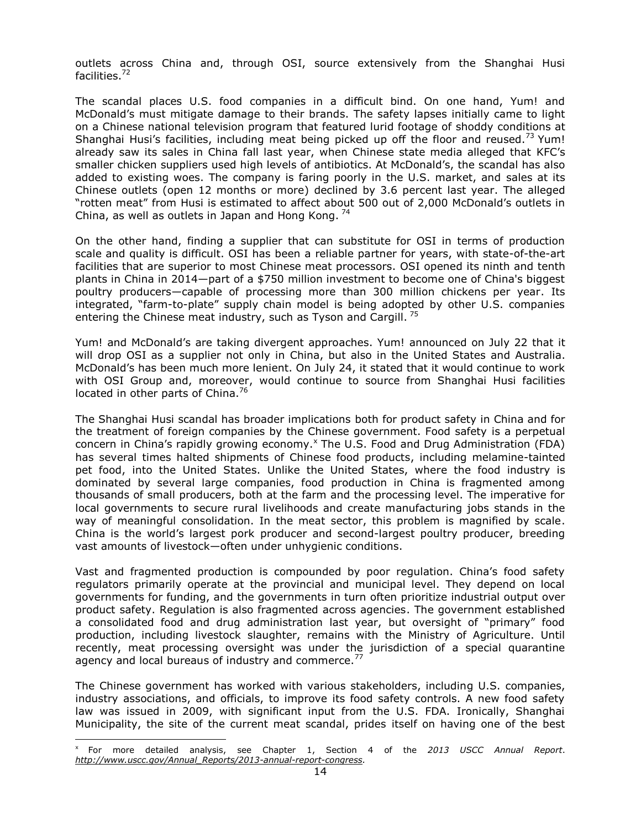outlets across China and, through OSI, source extensively from the Shanghai Husi facilities.<sup>72</sup>

The scandal places U.S. food companies in a difficult bind. On one hand, Yum! and McDonald's must mitigate damage to their brands. The safety lapses initially came to light on a Chinese national television program that featured lurid footage of shoddy conditions at Shanghai Husi's facilities, including meat being picked up off the floor and reused.<sup>73</sup> Yum! already saw its sales in China fall last year, when Chinese state media alleged that KFC's smaller chicken suppliers used high levels of antibiotics. At McDonald's, the scandal has also added to existing woes. The company is faring poorly in the U.S. market, and sales at its Chinese outlets (open 12 months or more) declined by 3.6 percent last year. The alleged "rotten meat" from Husi is estimated to affect about 500 out of 2,000 McDonald's outlets in China, as well as outlets in Japan and Hong Kong.  $^{74}$ 

On the other hand, finding a supplier that can substitute for OSI in terms of production scale and quality is difficult. OSI has been a reliable partner for years, with state-of-the-art facilities that are superior to most Chinese meat processors. OSI opened its ninth and tenth plants in China in 2014—part of a \$750 million investment to become one of China's biggest poultry producers—capable of processing more than 300 million chickens per year. Its integrated, "farm-to-plate" supply chain model is being adopted by other U.S. companies entering the Chinese meat industry, such as Tyson and Cargill.  $75$ 

Yum! and McDonald's are taking divergent approaches. Yum! announced on July 22 that it will drop OSI as a supplier not only in China, but also in the United States and Australia. McDonald's has been much more lenient. On July 24, it stated that it would continue to work with OSI Group and, moreover, would continue to source from Shanghai Husi facilities located in other parts of China.<sup>76</sup>

The Shanghai Husi scandal has broader implications both for product safety in China and for the treatment of foreign companies by the Chinese government. Food safety is a perpetual concern in China's rapidly growing economy. $^{\circ}$  The U.S. Food and Drug Administration (FDA) has several times halted shipments of Chinese food products, including melamine-tainted pet food, into the United States. Unlike the United States, where the food industry is dominated by several large companies, food production in China is fragmented among thousands of small producers, both at the farm and the processing level. The imperative for local governments to secure rural livelihoods and create manufacturing jobs stands in the way of meaningful consolidation. In the meat sector, this problem is magnified by scale. China is the world's largest pork producer and second-largest poultry producer, breeding vast amounts of livestock—often under unhygienic conditions.

Vast and fragmented production is compounded by poor regulation. China's food safety regulators primarily operate at the provincial and municipal level. They depend on local governments for funding, and the governments in turn often prioritize industrial output over product safety. Regulation is also fragmented across agencies. The government established a consolidated food and drug administration last year, but oversight of "primary" food production, including livestock slaughter, remains with the Ministry of Agriculture. Until recently, meat processing oversight was under the jurisdiction of a special quarantine agency and local bureaus of industry and commerce. $^{77}$ 

The Chinese government has worked with various stakeholders, including U.S. companies, industry associations, and officials, to improve its food safety controls. A new food safety law was issued in 2009, with significant input from the U.S. FDA. Ironically, Shanghai Municipality, the site of the current meat scandal, prides itself on having one of the best

x For more detailed analysis, see Chapter 1, Section 4 of the *2013 USCC Annual Report*. *[http://www.uscc.gov/Annual\\_Reports/2013-annual-report-congress.](http://www.uscc.gov/Annual_Reports/2013-annual-report-congress)*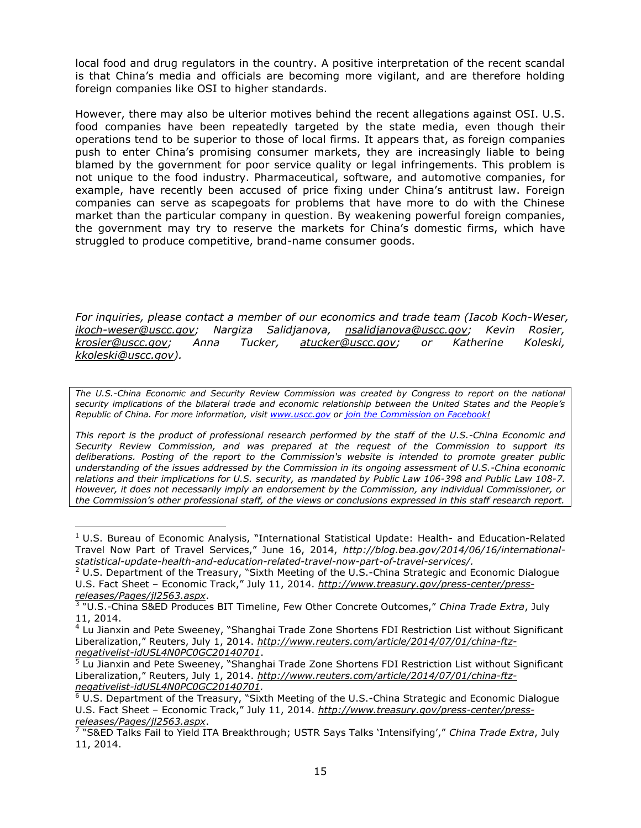local food and drug regulators in the country. A positive interpretation of the recent scandal is that China's media and officials are becoming more vigilant, and are therefore holding foreign companies like OSI to higher standards.

However, there may also be ulterior motives behind the recent allegations against OSI. U.S. food companies have been repeatedly targeted by the state media, even though their operations tend to be superior to those of local firms. It appears that, as foreign companies push to enter China's promising consumer markets, they are increasingly liable to being blamed by the government for poor service quality or legal infringements. This problem is not unique to the food industry. Pharmaceutical, software, and automotive companies, for example, have recently been accused of price fixing under China's antitrust law. Foreign companies can serve as scapegoats for problems that have more to do with the Chinese market than the particular company in question. By weakening powerful foreign companies, the government may try to reserve the markets for China's domestic firms, which have struggled to produce competitive, brand-name consumer goods.

*For inquiries, please contact a member of our economics and trade team (Iacob Koch-Weser, [ikoch-weser@uscc.gov;](mailto:ikoch-weser@uscc.gov) Nargiza Salidjanova, [nsalidjanova@uscc.gov;](mailto:nsalidjanova@uscc.gov) Kevin Rosier, [krosier@uscc.gov;](mailto:krosier@uscc.gov) Anna Tucker, [atucker@uscc.gov;](mailto:atucker@uscc.gov) or Katherine Koleski, [kkoleski@uscc.gov\)](mailto:kkoleski@uscc.gov).*

*The U.S.-China Economic and Security Review Commission was created by Congress to report on the national security implications of the bilateral trade and economic relationship between the United States and the People's Republic of China. For more information, visit [www.uscc.gov](http://www.uscc.gov/) or [join the Commission on Facebook!](http://www.facebook.com/pages/edit/?id=128803570526092&sk=basic#!/pages/US-China-Economic-and-Security-Review-Commission/128803570526092)*

*This report is the product of professional research performed by the staff of the U.S.-China Economic and Security Review Commission, and was prepared at the request of the Commission to support its deliberations. Posting of the report to the Commission's website is intended to promote greater public understanding of the issues addressed by the Commission in its ongoing assessment of U.S.-China economic relations and their implications for U.S. security, as mandated by Public Law 106-398 and Public Law 108-7. However, it does not necessarily imply an endorsement by the Commission, any individual Commissioner, or the Commission's other professional staff, of the views or conclusions expressed in this staff research report.*

 $<sup>1</sup>$  U.S. Bureau of Economic Analysis, "International Statistical Update: Health- and Education-Related</sup> Travel Now Part of Travel Services," June 16, 2014, *http://blog.bea.gov/2014/06/16/internationalstatistical-update-health-and-education-related-travel-now-part-of-travel-services/.*

 $2$  U.S. Department of the Treasury, "Sixth Meeting of the U.S.-China Strategic and Economic Dialogue U.S. Fact Sheet – Economic Track," July 11, 2014. *[http://www.treasury.gov/press-center/press](http://www.treasury.gov/press-center/press-releases/Pages/jl2563.aspx)[releases/Pages/jl2563.aspx](http://www.treasury.gov/press-center/press-releases/Pages/jl2563.aspx)*.

<sup>3</sup> "U.S.-China S&ED Produces BIT Timeline, Few Other Concrete Outcomes," *China Trade Extra*, July 11, 2014.

<sup>4</sup> Lu Jianxin and Pete Sweeney, "Shanghai Trade Zone Shortens FDI Restriction List without Significant Liberalization," Reuters, July 1, 2014. *[http://www.reuters.com/article/2014/07/01/china-ftz](http://www.reuters.com/article/2014/07/01/china-ftz-negativelist-idUSL4N0PC0GC20140701)[negativelist-idUSL4N0PC0GC20140701](http://www.reuters.com/article/2014/07/01/china-ftz-negativelist-idUSL4N0PC0GC20140701)*.

<sup>&</sup>lt;sup>5</sup> Lu Jianxin and Pete Sweeney, "Shanghai Trade Zone Shortens FDI Restriction List without Significant Liberalization," Reuters, July 1, 2014. *[http://www.reuters.com/article/2014/07/01/china-ftz](http://www.reuters.com/article/2014/07/01/china-ftz-negativelist-idUSL4N0PC0GC20140701)[negativelist-idUSL4N0PC0GC20140701.](http://www.reuters.com/article/2014/07/01/china-ftz-negativelist-idUSL4N0PC0GC20140701)* 

**<sup>6</sup> U.S. Department of the Treasury, "Sixth Meeting of the U.S.-China Strategic and Economic Dialogue** U.S. Fact Sheet – Economic Track," July 11, 2014. *[http://www.treasury.gov/press-center/press](http://www.treasury.gov/press-center/press-releases/Pages/jl2563.aspx)[releases/Pages/jl2563.aspx](http://www.treasury.gov/press-center/press-releases/Pages/jl2563.aspx)*.

<sup>7</sup> "S&ED Talks Fail to Yield ITA Breakthrough; USTR Says Talks 'Intensifying'," *China Trade Extra*, July 11, 2014.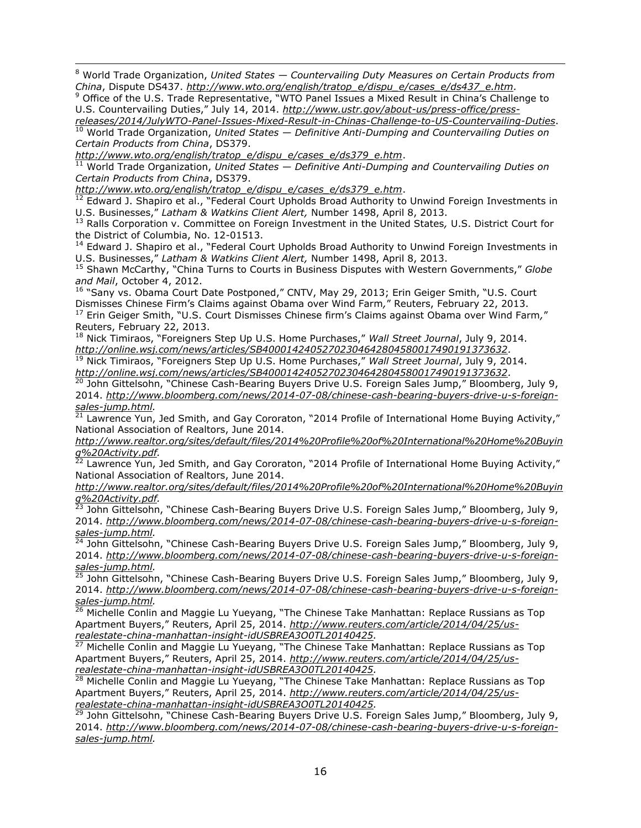<sup>8</sup> World Trade Organization, *United States — Countervailing Duty Measures on Certain Products from China*, Dispute DS437. *[http://www.wto.org/english/tratop\\_e/dispu\\_e/cases\\_e/ds437\\_e.htm.](http://www.wto.org/english/tratop_e/dispu_e/cases_e/ds437_e.htm)* 

<sup>9</sup> Office of the U.S. Trade Representative, "WTO Panel Issues a Mixed Result in China's Challenge to U.S. Countervailing Duties," July 14, 2014. *[http://www.ustr.gov/about-us/press-office/press-](http://www.ustr.gov/about-us/press-office/press-releases/2014/JulyWTO-Panel-Issues-Mixed-Result-in-Chinas-Challenge-to-US-Countervailing-Duties)*

*[releases/2014/JulyWTO-Panel-Issues-Mixed-Result-in-Chinas-Challenge-to-US-Countervailing-Duties](http://www.ustr.gov/about-us/press-office/press-releases/2014/JulyWTO-Panel-Issues-Mixed-Result-in-Chinas-Challenge-to-US-Countervailing-Duties)*. <sup>10</sup> World Trade Organization, *United States — Definitive Anti-Dumping and Countervailing Duties on Certain Products from China*, DS379.

*[http://www.wto.org/english/tratop\\_e/dispu\\_e/cases\\_e/ds379\\_e.htm](http://www.wto.org/english/tratop_e/dispu_e/cases_e/ds379_e.htm)*.

<sup>11</sup> World Trade Organization, *United States — Definitive Anti-Dumping and Countervailing Duties on Certain Products from China*, DS379.

*[http://www.wto.org/english/tratop\\_e/dispu\\_e/cases\\_e/ds379\\_e.htm](http://www.wto.org/english/tratop_e/dispu_e/cases_e/ds379_e.htm)*.

<sup>12</sup> Edward J. Shapiro et al., "Federal Court Upholds Broad Authority to Unwind Foreign Investments in U.S. Businesses," *Latham & Watkins Client Alert,* Number 1498, April 8, 2013.

<sup>13</sup> Ralls Corporation v. Committee on Foreign Investment in the United States*,* U.S. District Court for the District of Columbia, No. 12-01513.

<sup>14</sup> Edward J. Shapiro et al., "Federal Court Upholds Broad Authority to Unwind Foreign Investments in U.S. Businesses," *Latham & Watkins Client Alert,* Number 1498, April 8, 2013.

<sup>15</sup> Shawn McCarthy, "China Turns to Courts in Business Disputes with Western Governments," *Globe and Mail*, October 4, 2012.

<sup>16</sup> "Sany vs. Obama Court Date Postponed," CNTV, May 29, 2013; Erin Geiger Smith, "U.S. Court Dismisses Chinese Firm's Claims against Obama over Wind Farm*,*" Reuters, February 22, 2013. <sup>17</sup> Erin Geiger Smith, "U.S. Court Dismisses Chinese firm's Claims against Obama over Wind Farm*,*"

Reuters, February 22, 2013.

1

<sup>18</sup> Nick Timiraos, "Foreigners Step Up U.S. Home Purchases," *Wall Street Journal*, July 9, 2014. *http://online.wsj.com/news/articles/SB40001424052702304642804580017490191373632.*

<sup>19</sup> Nick Timiraos, "Foreigners Step Up U.S. Home Purchases," *Wall Street Journal*, July 9, 2014. *http://online.wsj.com/news/articles/SB40001424052702304642804580017490191373632.* 

<sup>20</sup> John Gittelsohn, "Chinese Cash-Bearing Buyers Drive U.S. Foreign Sales Jump," Bloomberg, July 9, 2014. *http://www.bloomberg.com/news/2014-07-08/chinese-cash-bearing-buyers-drive-u-s-foreignsales-jump.html.*

<sup>21</sup> Lawrence Yun, Jed Smith, and Gay Cororaton, "2014 Profile of International Home Buying Activity," National Association of Realtors, June 2014.

*http://www.realtor.org/sites/default/files/2014%20Profile%20of%20International%20Home%20Buyin g%20Activity.pdf.*

<sup>22</sup> Lawrence Yun, Jed Smith, and Gay Cororaton, "2014 Profile of International Home Buying Activity," National Association of Realtors, June 2014.

*http://www.realtor.org/sites/default/files/2014%20Profile%20of%20International%20Home%20Buyin g%20Activity.pdf.*

<sup>23</sup> John Gittelsohn, "Chinese Cash-Bearing Buyers Drive U.S. Foreign Sales Jump," Bloomberg, July 9, 2014. *http://www.bloomberg.com/news/2014-07-08/chinese-cash-bearing-buyers-drive-u-s-foreignsales-jump.html.*

<sup>24</sup> John Gittelsohn, "Chinese Cash-Bearing Buyers Drive U.S. Foreign Sales Jump," Bloomberg, July 9, 2014. *http://www.bloomberg.com/news/2014-07-08/chinese-cash-bearing-buyers-drive-u-s-foreignsales-jump.html.*

<sup>25</sup> John Gittelsohn, "Chinese Cash-Bearing Buyers Drive U.S. Foreign Sales Jump," Bloomberg, July 9, 2014. *http://www.bloomberg.com/news/2014-07-08/chinese-cash-bearing-buyers-drive-u-s-foreignsales-jump.html.*

26 Michelle Conlin and Maggie Lu Yueyang, "The Chinese Take Manhattan: Replace Russians as Top Apartment Buyers," Reuters, April 25, 2014. *http://www.reuters.com/article/2014/04/25/usrealestate-china-manhattan-insight-idUSBREA3O0TL20140425.*

<sup>27</sup> Michelle Conlin and Maggie Lu Yueyang, "The Chinese Take Manhattan: Replace Russians as Top Apartment Buyers," Reuters, April 25, 2014. *http://www.reuters.com/article/2014/04/25/usrealestate-china-manhattan-insight-idUSBREA3O0TL20140425.*

<sup>28</sup> Michelle Conlin and Maggie Lu Yueyang, "The Chinese Take Manhattan: Replace Russians as Top Apartment Buyers," Reuters, April 25, 2014. *http://www.reuters.com/article/2014/04/25/usrealestate-china-manhattan-insight-idUSBREA3O0TL20140425.*

<sup>29</sup> John Gittelsohn, "Chinese Cash-Bearing Buyers Drive U.S. Foreign Sales Jump," Bloomberg, July 9, 2014. *http://www.bloomberg.com/news/2014-07-08/chinese-cash-bearing-buyers-drive-u-s-foreignsales-jump.html.*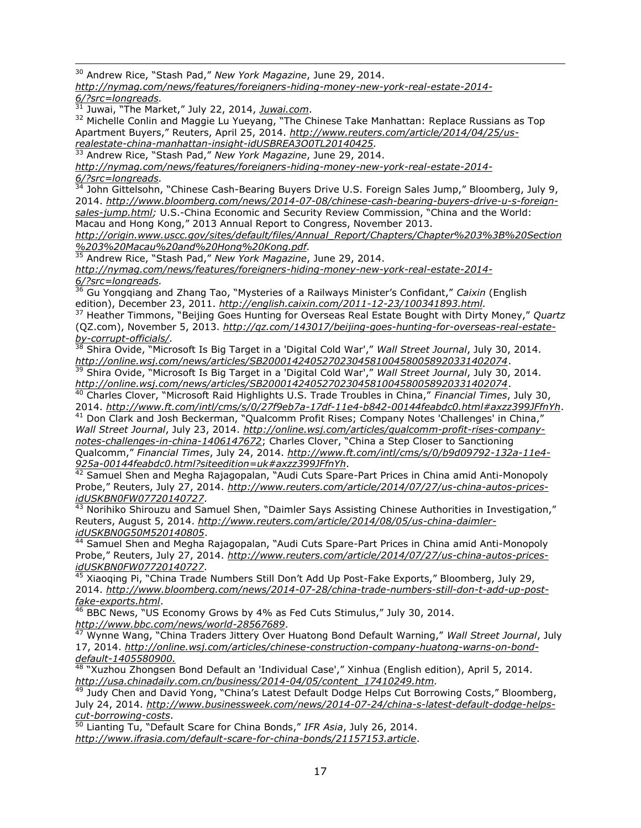1 <sup>30</sup> Andrew Rice, "Stash Pad," *New York Magazine*, June 29, 2014.

*http://nymag.com/news/features/foreigners-hiding-money-new-york-real-estate-2014- 6/?src=longreads.*

<sup>31</sup> Juwai, "The Market," July 22, 2014, *Juwai.com*.

<sup>32</sup> Michelle Conlin and Maggie Lu Yueyang, "The Chinese Take Manhattan: Replace Russians as Top Apartment Buyers," Reuters, April 25, 2014. *http://www.reuters.com/article/2014/04/25/usrealestate-china-manhattan-insight-idUSBREA3O0TL20140425.*

<sup>33</sup> Andrew Rice, "Stash Pad," *New York Magazine*, June 29, 2014.

*http://nymag.com/news/features/foreigners-hiding-money-new-york-real-estate-2014- 6/?src=longreads.*

 $\frac{34}{34}$  John Gittelsohn, "Chinese Cash-Bearing Buyers Drive U.S. Foreign Sales Jump," Bloomberg, July 9, 2014. *[http://www.bloomberg.com/news/2014-07-08/chinese-cash-bearing-buyers-drive-u-s-foreign](http://www.bloomberg.com/news/2014-07-08/chinese-cash-bearing-buyers-drive-u-s-foreign-sales-jump.html)[sales-jump.html;](http://www.bloomberg.com/news/2014-07-08/chinese-cash-bearing-buyers-drive-u-s-foreign-sales-jump.html)* U.S.-China Economic and Security Review Commission, "China and the World: Macau and Hong Kong," 2013 Annual Report to Congress, November 2013.

*http://origin.www.uscc.gov/sites/default/files/Annual\_Report/Chapters/Chapter%203%3B%20Section %203%20Macau%20and%20Hong%20Kong.pdf.*

<sup>35</sup> Andrew Rice, "Stash Pad," *New York Magazine*, June 29, 2014.

*http://nymag.com/news/features/foreigners-hiding-money-new-york-real-estate-2014- 6/?src=longreads.*

<sup>36</sup> Gu Yongqiang and Zhang Tao, "Mysteries of a Railways Minister's Confidant," *Caixin* (English edition), December 23, 2011. *http://english.caixin.com/2011-12-23/100341893.html.*<br><sup>37</sup> Heather Timmons "Boijing Case Hunting for Computing Case Hunting for Computation

<sup>37</sup> Heather Timmons, "Beijing Goes Hunting for Overseas Real Estate Bought with Dirty Money," *Quartz* (QZ.com), November 5, 2013. *http://qz.com/143017/beijing-goes-hunting-for-overseas-real-estateby-corrupt-officials/.*

<sup>38</sup> Shira Ovide, "Microsoft Is Big Target in a 'Digital Cold War'," *Wall Street Journal*, July 30, 2014. *http://online.wsj.com/news/articles/SB20001424052702304581004580058920331402074*.

<sup>39</sup> Shira Ovide, "Microsoft Is Big Target in a 'Digital Cold War'," *Wall Street Journal*, July 30, 2014. *http://online.wsj.com/news/articles/SB20001424052702304581004580058920331402074*.

<sup>40</sup> Charles Clover, "Microsoft Raid Highlights U.S. Trade Troubles in China," *Financial Times*, July 30, 2014. *http://www.ft.com/intl/cms/s/0/27f9eb7a-17df-11e4-b842-00144feabdc0.html#axzz399JFfnYh*.

<sup>41</sup> Don Clark and Josh Beckerman, "Qualcomm Profit Rises; Company Notes 'Challenges' in China," *Wall Street Journal*, July 23, 2014. *http://online.wsj.com/articles/qualcomm-profit-rises-companynotes-challenges-in-china-1406147672*; Charles Clover, "China a Step Closer to Sanctioning Qualcomm," *Financial Times*, July 24, 2014. *http://www.ft.com/intl/cms/s/0/b9d09792-132a-11e4- 925a-00144feabdc0.html?siteedition=uk#axzz399JFfnYh*.

 $^{42}$  Samuel Shen and Megha Rajagopalan, "Audi Cuts Spare-Part Prices in China amid Anti-Monopoly Probe," Reuters, July 27, 2014. *http://www.reuters.com/article/2014/07/27/us-china-autos-pricesidUSKBN0FW07720140727*.

 $43$  Norihiko Shirouzu and Samuel Shen, "Daimler Says Assisting Chinese Authorities in Investigation," Reuters, August 5, 2014. *[http://www.reuters.com/article/2014/08/05/us-china-daimler](http://www.reuters.com/article/2014/08/05/us-china-daimler-idUSKBN0G50M520140805)[idUSKBN0G50M520140805](http://www.reuters.com/article/2014/08/05/us-china-daimler-idUSKBN0G50M520140805)*.

<sup>44</sup> Samuel Shen and Megha Rajagopalan, "Audi Cuts Spare-Part Prices in China amid Anti-Monopoly Probe," Reuters, July 27, 2014. *http://www.reuters.com/article/2014/07/27/us-china-autos-pricesidUSKBN0FW07720140727*.

<sup>45</sup> Xiaoqing Pi, "China Trade Numbers Still Don't Add Up Post-Fake Exports," Bloomberg, July 29, 2014. *http://www.bloomberg.com/news/2014-07-28/china-trade-numbers-still-don-t-add-up-postfake-exports.html*.

<sup>46</sup> BBC News, "US Economy Grows by 4% as Fed Cuts Stimulus," July 30, 2014. *http://www.bbc.com/news/world-28567689*.

<sup>47</sup> Wynne Wang, "China Traders Jittery Over Huatong Bond Default Warning," *Wall Street Journal*, July 17, 2014. *http://online.wsj.com/articles/chinese-construction-company-huatong-warns-on-bonddefault-1405580900.*

<sup>48</sup> "Xuzhou Zhongsen Bond Default an 'Individual Case'," Xinhua (English edition), April 5, 2014. *http://usa.chinadaily.com.cn/business/2014-04/05/content\_17410249.htm.*

49 Judy Chen and David Yong, "China's Latest Default Dodge Helps Cut Borrowing Costs," Bloomberg, July 24, 2014. *http://www.businessweek.com/news/2014-07-24/china-s-latest-default-dodge-helpscut-borrowing-costs*.

<sup>50</sup> Lianting Tu, "Default Scare for China Bonds," *IFR Asia*, July 26, 2014. *http://www.ifrasia.com/default-scare-for-china-bonds/21157153.article*.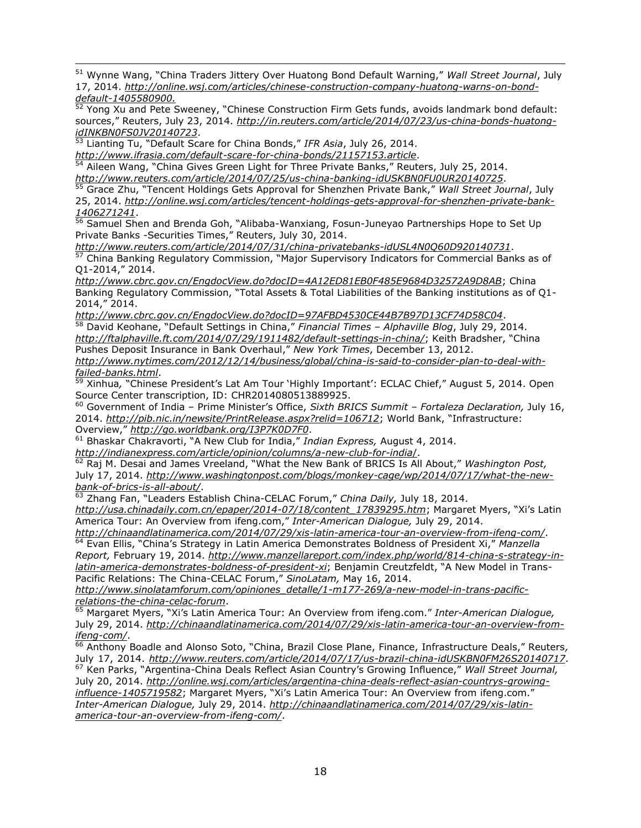1 <sup>51</sup> Wynne Wang, "China Traders Jittery Over Huatong Bond Default Warning," *Wall Street Journal*, July 17, 2014. *http://online.wsj.com/articles/chinese-construction-company-huatong-warns-on-bonddefault-1405580900.*

 $\frac{52}{2}$  Yong Xu and Pete Sweeney, "Chinese Construction Firm Gets funds, avoids landmark bond default: sources," Reuters, July 23, 2014. *http://in.reuters.com/article/2014/07/23/us-china-bonds-huatongidINKBN0FS0JV20140723*.

<sup>53</sup> Lianting Tu, "Default Scare for China Bonds," *IFR Asia*, July 26, 2014.

*http://www.ifrasia.com/default-scare-for-china-bonds/21157153.article*.

 $\frac{54}{54}$  Aileen Wang, "China Gives Green Light for Three Private Banks," Reuters, July 25, 2014. *http://www.reuters.com/article/2014/07/25/us-china-banking-idUSKBN0FU0UR20140725*.

<sup>55</sup> Grace Zhu, "Tencent Holdings Gets Approval for Shenzhen Private Bank," *Wall Street Journal*, July 25, 2014. *http://online.wsj.com/articles/tencent-holdings-gets-approval-for-shenzhen-private-bank-1406271241*.

<sup>56</sup> Samuel Shen and Brenda Goh, "Alibaba-Wanxiang, Fosun-Juneyao Partnerships Hope to Set Up Private Banks -Securities Times," Reuters, July 30, 2014.

*http://www.reuters.com/article/2014/07/31/china-privatebanks-idUSL4N0Q60D920140731*.

<sup>57</sup> China Banking Regulatory Commission, "Major Supervisory Indicators for Commercial Banks as of Q1-2014," 2014.

*http://www.cbrc.gov.cn/EngdocView.do?docID=4A12ED81EB0F485E9684D32572A9D8AB*; China Banking Regulatory Commission, "Total Assets & Total Liabilities of the Banking institutions as of Q1- 2014," 2014.

*http://www.cbrc.gov.cn/EngdocView.do?docID=97AFBD4530CE44B7B97D13CF74D58C04*.

<sup>58</sup> David Keohane, "Default Settings in China," *Financial Times – Alphaville Blog*, July 29, 2014. *http://ftalphaville.ft.com/2014/07/29/1911482/default-settings-in-china/*; Keith Bradsher, "China Pushes Deposit Insurance in Bank Overhaul," *New York Times*, December 13, 2012. *http://www.nytimes.com/2012/12/14/business/global/china-is-said-to-consider-plan-to-deal-withfailed-banks.html*.

<sup>59</sup> Xinhua*,* "Chinese President's Lat Am Tour 'Highly Important': ECLAC Chief," August 5, 2014. Open Source Center transcription, ID: CHR2014080513889925.

<sup>60</sup> Government of India – Prime Minister's Office, *Sixth BRICS Summit – Fortaleza Declaration,* July 16, 2014. *<http://pib.nic.in/newsite/PrintRelease.aspx?relid=106712>*; World Bank, "Infrastructure: Overview," *<http://go.worldbank.org/I3P7K0D7F0>*.

<sup>61</sup> Bhaskar Chakravorti, "A New Club for India," *Indian Express,* August 4, 2014.

*[http://indianexpress.com/article/opinion/columns/a-new-club-for-india](http://indianexpress.com/article/opinion/columns/a-new-club-for-india/)*/.

<sup>62</sup> Raj M. Desai and James Vreeland, "What the New Bank of BRICS Is All About," *Washington Post,* July 17, 2014. *[http://www.washingtonpost.com/blogs/monkey-cage/wp/2014/07/17/what-the-new](http://www.washingtonpost.com/blogs/monkey-cage/wp/2014/07/17/what-the-new-bank-of-brics-is-all-about/)[bank-of-brics-is-all-about/](http://www.washingtonpost.com/blogs/monkey-cage/wp/2014/07/17/what-the-new-bank-of-brics-is-all-about/)*.

<sup>63</sup> Zhang Fan, "Leaders Establish China-CELAC Forum," *China Daily,* July 18, 2014. *[http://usa.chinadaily.com.cn/epaper/2014-07/18/content\\_17839295.htm](http://usa.chinadaily.com.cn/epaper/2014-07/18/content_17839295.htm)*; Margaret Myers, "Xi's Latin America Tour: An Overview from ifeng.com," *Inter-American Dialogue,* July 29, 2014.

*<http://chinaandlatinamerica.com/2014/07/29/xis-latin-america-tour-an-overview-from-ifeng-com/>*. <sup>64</sup> Evan Ellis, "China's Strategy in Latin America Demonstrates Boldness of President Xi," *Manzella Report,* February 19, 2014. *[http://www.manzellareport.com/index.php/world/814-china-s-strategy-in](http://www.manzellareport.com/index.php/world/814-china-s-strategy-in-latin-america-demonstrates-boldness-of-president-xi)[latin-america-demonstrates-boldness-of-president-xi](http://www.manzellareport.com/index.php/world/814-china-s-strategy-in-latin-america-demonstrates-boldness-of-president-xi)*; Benjamin Creutzfeldt, "A New Model in Trans-Pacific Relations: The China-CELAC Forum," *SinoLatam,* May 16, 2014.

*[http://www.sinolatamforum.com/opiniones\\_detalle/1-m177-269/a-new-model-in-trans-pacific](http://www.sinolatamforum.com/opiniones_detalle/1-m177-269/a-new-model-in-trans-pacific-relations-the-china-celac-forum)[relations-the-china-celac-forum](http://www.sinolatamforum.com/opiniones_detalle/1-m177-269/a-new-model-in-trans-pacific-relations-the-china-celac-forum)*.

<sup>65</sup> Margaret Myers, "Xi's Latin America Tour: An Overview from ifeng.com." *Inter-American Dialogue,* July 29, 2014. *[http://chinaandlatinamerica.com/2014/07/29/xis-latin-america-tour-an-overview-from](http://chinaandlatinamerica.com/2014/07/29/xis-latin-america-tour-an-overview-from-ifeng-com/)* $ifeng-com/$ .<br> $\frac{ifeng-com/}{66}$ .

<sup>66</sup> Anthony Boadle and Alonso Soto, "China, Brazil Close Plane, Finance, Infrastructure Deals," Reuters*,* July 17, 2014. *<http://www.reuters.com/article/2014/07/17/us-brazil-china-idUSKBN0FM26S20140717>*. <sup>67</sup> Ken Parks, "Argentina-China Deals Reflect Asian Country's Growing Influence," *Wall Street Journal,* July 20, 2014. *[http://online.wsj.com/articles/argentina-china-deals-reflect-asian-countrys-growing](http://online.wsj.com/articles/argentina-china-deals-reflect-asian-countrys-growing-influence-1405719582)[influence-1405719582](http://online.wsj.com/articles/argentina-china-deals-reflect-asian-countrys-growing-influence-1405719582)*; Margaret Myers, "Xi's Latin America Tour: An Overview from ifeng.com." *Inter-American Dialogue,* July 29, 2014. *[http://chinaandlatinamerica.com/2014/07/29/xis-latin](http://chinaandlatinamerica.com/2014/07/29/xis-latin-america-tour-an-overview-from-ifeng-com/)[america-tour-an-overview-from-ifeng-com/](http://chinaandlatinamerica.com/2014/07/29/xis-latin-america-tour-an-overview-from-ifeng-com/)*.